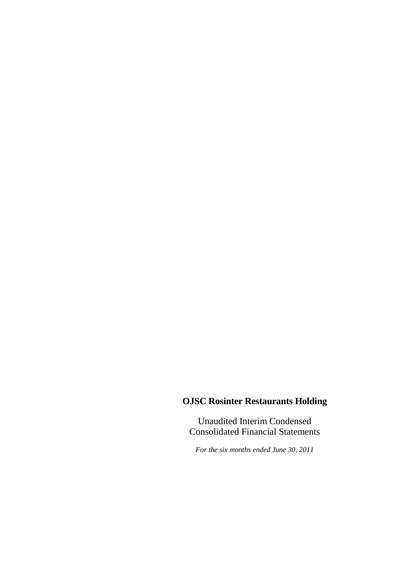Unaudited Interim Condensed Consolidated Financial Statements

*For the six months ended June 30, 2011*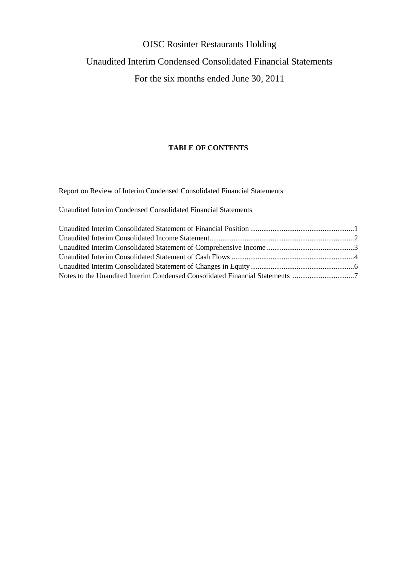# OJSC Rosinter Restaurants Holding Unaudited Interim Condensed Consolidated Financial Statements For the six months ended June 30, 2011

### **TABLE OF CONTENTS**

Report on Review of Interim Condensed Consolidated Financial Statements

Unaudited Interim Condensed Consolidated Financial Statements

| Notes to the Unaudited Interim Condensed Consolidated Financial Statements |  |
|----------------------------------------------------------------------------|--|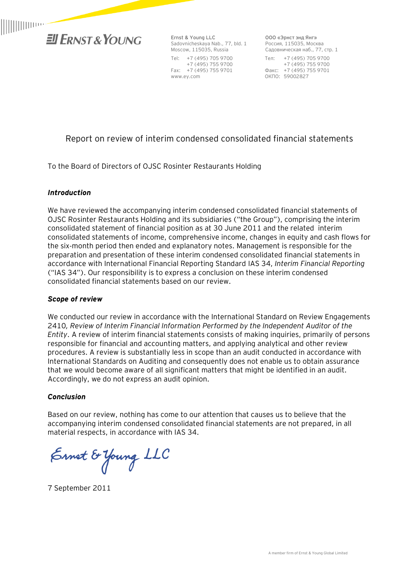

**Ernst & Young LLC**  Sadovnicheskaya Nab., 77, bld. 1 Moscow, 115035, Russia Tel: +7 (495) 705 9700 +7 (495) 755 9700 Fax: +7 (495) 755 9701 www.ey.com

**ООО «Эрнст энд Янг»**  Россия, 115035, Москва Садовническая наб., 77, стр. 1 Тел: +7 (495) 705 9700 +7 (495) 755 9700 Факс: +7 (495) 755 9701 ОКПО: 59002827

## Report on review of interim condensed consolidated financial statements

To the Board of Directors of OJSC Rosinter Restaurants Holding

### *Introduction*

We have reviewed the accompanying interim condensed consolidated financial statements of OJSC Rosinter Restaurants Holding and its subsidiaries ("the Group"), comprising the interim consolidated statement of financial position as at 30 June 2011 and the related interim consolidated statements of income, comprehensive income, changes in equity and cash flows for the six-month period then ended and explanatory notes. Management is responsible for the preparation and presentation of these interim condensed consolidated financial statements in accordance with International Financial Reporting Standard IAS 34, *Interim Financial Reporting* ("IAS 34"). Our responsibility is to express a conclusion on these interim condensed consolidated financial statements based on our review.

### *Scope of review*

We conducted our review in accordance with the International Standard on Review Engagements 2410*, Review of Interim Financial Information Performed by the Independent Auditor of the Entity*. A review of interim financial statements consists of making inquiries, primarily of persons responsible for financial and accounting matters, and applying analytical and other review procedures. A review is substantially less in scope than an audit conducted in accordance with International Standards on Auditing and consequently does not enable us to obtain assurance that we would become aware of all significant matters that might be identified in an audit. Accordingly, we do not express an audit opinion.

### *Conclusion*

Based on our review, nothing has come to our attention that causes us to believe that the accompanying interim condensed consolidated financial statements are not prepared, in all material respects, in accordance with IAS 34.

Ernet & Young LLC

7 September 2011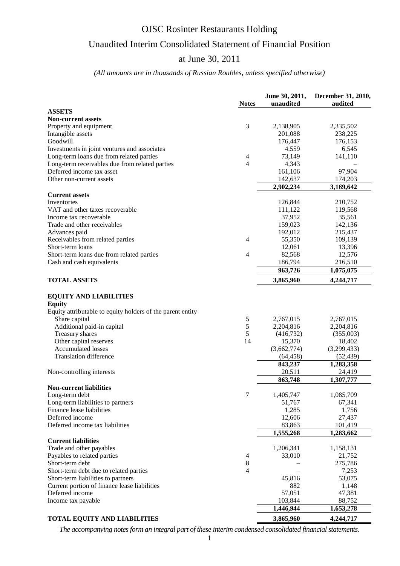## Unaudited Interim Consolidated Statement of Financial Position

### at June 30, 2011

### *(All amounts are in thousands of Russian Roubles, unless specified otherwise)*

|                                                            | <b>Notes</b>   | June 30, 2011,<br>unaudited | December 31, 2010,<br>audited |
|------------------------------------------------------------|----------------|-----------------------------|-------------------------------|
| <b>ASSETS</b>                                              |                |                             |                               |
| <b>Non-current assets</b>                                  |                |                             |                               |
| Property and equipment                                     | 3              | 2,138,905                   | 2,335,502                     |
| Intangible assets                                          |                | 201,088                     | 238,225                       |
| Goodwill                                                   |                | 176,447                     | 176,153                       |
| Investments in joint ventures and associates               |                | 4,559                       | 6,545                         |
| Long-term loans due from related parties                   | $\overline{4}$ | 73,149                      | 141,110                       |
| Long-term receivables due from related parties             | 4              | 4,343                       |                               |
| Deferred income tax asset                                  |                | 161,106                     | 97,904                        |
| Other non-current assets                                   |                | 142,637                     | 174,203                       |
|                                                            |                | 2,902,234                   | 3,169,642                     |
| <b>Current assets</b>                                      |                |                             |                               |
| Inventories                                                |                | 126,844                     | 210,752                       |
| VAT and other taxes recoverable                            |                | 111,122                     | 119,568                       |
| Income tax recoverable                                     |                | 37,952                      | 35,561                        |
| Trade and other receivables                                |                | 159,023                     | 142,136                       |
| Advances paid                                              |                | 192,012                     | 215,437                       |
| Receivables from related parties                           | $\overline{4}$ | 55,350                      | 109,139                       |
| Short-term loans                                           |                | 12,061                      | 13,396                        |
| Short-term loans due from related parties                  | 4              | 82,568                      | 12,576                        |
| Cash and cash equivalents                                  |                | 186,794                     | 216,510                       |
|                                                            |                | 963,726                     | 1,075,075                     |
| <b>TOTAL ASSETS</b>                                        |                | 3,865,960                   | 4,244,717                     |
| <b>EQUITY AND LIABILITIES</b>                              |                |                             |                               |
| <b>Equity</b>                                              |                |                             |                               |
| Equity attributable to equity holders of the parent entity |                |                             |                               |
| Share capital                                              | 5              | 2,767,015                   | 2,767,015                     |
| Additional paid-in capital                                 | 5              | 2,204,816                   | 2,204,816                     |
| Treasury shares                                            | 5              | (416, 732)                  | (355,003)                     |
| Other capital reserves                                     | 14             | 15,370                      | 18,402                        |
| <b>Accumulated losses</b>                                  |                | (3,662,774)                 | (3,299,433)                   |
| <b>Translation difference</b>                              |                | (64, 458)                   | (52, 439)                     |
|                                                            |                | 843,237                     | 1,283,358                     |
| Non-controlling interests                                  |                | 20,511                      | 24,419                        |
|                                                            |                | 863,748                     | 1,307,777                     |
| <b>Non-current liabilities</b>                             |                |                             |                               |
| Long-term debt                                             |                | 1,405,747                   | 1,085,709                     |
| Long-term liabilities to partners                          |                | 51,767                      | 67,341                        |
| Finance lease liabilities                                  |                | 1,285                       | 1,756                         |
| Deferred income                                            |                | 12,606                      | 27,437                        |
| Deferred income tax liabilities                            |                | 83,863                      | 101,419                       |
| <b>Current liabilities</b>                                 |                | 1,555,268                   | 1,283,662                     |
| Trade and other payables                                   |                | 1,206,341                   | 1,158,131                     |
| Payables to related parties                                | 4              | 33,010                      | 21,752                        |
| Short-term debt                                            | 8              |                             | 275,786                       |
| Short-term debt due to related parties                     | 4              |                             | 7,253                         |
| Short-term liabilities to partners                         |                | 45,816                      | 53,075                        |
| Current portion of finance lease liabilities               |                | 882                         | 1,148                         |
| Deferred income                                            |                | 57,051                      | 47,381                        |
| Income tax payable                                         |                | 103,844                     | 88,752                        |
|                                                            |                | 1,446,944                   | 1,653,278                     |
| <b>TOTAL EQUITY AND LIABILITIES</b>                        |                | 3,865,960                   | 4,244,717                     |

*The accompanying notes form an integral part of these interim condensed consolidated financial statements.*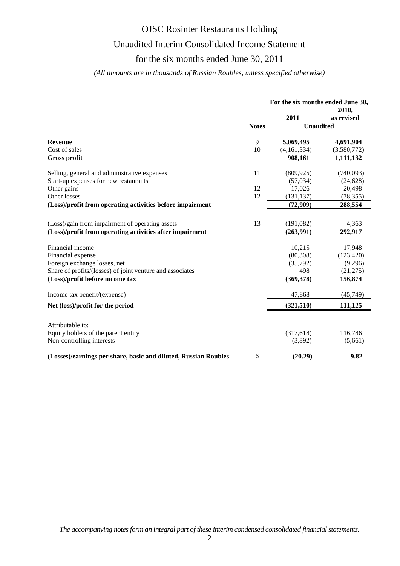## Unaudited Interim Consolidated Income Statement

### for the six months ended June 30, 2011

### *(All amounts are in thousands of Russian Roubles, unless specified otherwise)*

|                                                                 |              | For the six months ended June 30, |             |  |
|-----------------------------------------------------------------|--------------|-----------------------------------|-------------|--|
|                                                                 |              |                                   | 2010,       |  |
|                                                                 |              | 2011                              | as revised  |  |
|                                                                 | <b>Notes</b> | <b>Unaudited</b>                  |             |  |
|                                                                 |              |                                   |             |  |
| <b>Revenue</b>                                                  | 9            | 5,069,495                         | 4,691,904   |  |
| Cost of sales                                                   | 10           | (4,161,334)                       | (3,580,772) |  |
| <b>Gross profit</b>                                             |              | 908,161                           | 1,111,132   |  |
| Selling, general and administrative expenses                    | 11           | (809, 925)                        | (740,093)   |  |
| Start-up expenses for new restaurants                           |              | (57,034)                          | (24, 628)   |  |
| Other gains                                                     | 12           | 17,026                            | 20,498      |  |
| Other losses                                                    | 12           | (131, 137)                        | (78, 355)   |  |
| (Loss)/profit from operating activities before impairment       |              | (72,909)                          | 288,554     |  |
|                                                                 |              |                                   |             |  |
| (Loss)/gain from impairment of operating assets                 | 13           | (191,082)                         | 4,363       |  |
| (Loss)/profit from operating activities after impairment        |              | (263,991)                         | 292,917     |  |
| Financial income                                                |              | 10,215                            | 17,948      |  |
| Financial expense                                               |              | (80, 308)                         | (123, 420)  |  |
| Foreign exchange losses, net                                    |              | (35,792)                          | (9,296)     |  |
| Share of profits/(losses) of joint venture and associates       |              | 498                               | (21, 275)   |  |
| (Loss)/profit before income tax                                 |              | (369,378)                         | 156,874     |  |
|                                                                 |              |                                   |             |  |
| Income tax benefit/(expense)                                    |              | 47,868                            | (45, 749)   |  |
| Net (loss)/profit for the period                                |              | (321, 510)                        | 111,125     |  |
|                                                                 |              |                                   |             |  |
| Attributable to:                                                |              |                                   |             |  |
| Equity holders of the parent entity                             |              | (317,618)                         | 116,786     |  |
| Non-controlling interests                                       |              | (3,892)                           | (5,661)     |  |
| (Losses)/earnings per share, basic and diluted, Russian Roubles | 6            | (20.29)                           | 9.82        |  |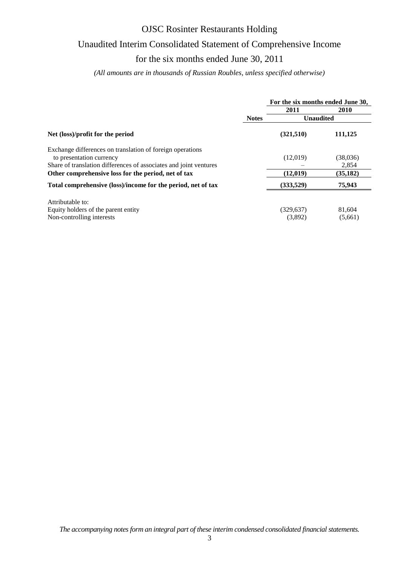# Unaudited Interim Consolidated Statement of Comprehensive Income

### for the six months ended June 30, 2011

*(All amounts are in thousands of Russian Roubles, unless specified otherwise)*

|                                                                                                                                                            |              | For the six months ended June 30, |                   |  |  |
|------------------------------------------------------------------------------------------------------------------------------------------------------------|--------------|-----------------------------------|-------------------|--|--|
|                                                                                                                                                            |              | 2011                              | 2010              |  |  |
|                                                                                                                                                            | <b>Notes</b> | <b>Unaudited</b>                  |                   |  |  |
| Net (loss)/profit for the period                                                                                                                           |              | (321,510)                         | 111,125           |  |  |
| Exchange differences on translation of foreign operations<br>to presentation currency<br>Share of translation differences of associates and joint ventures |              | (12,019)                          | (38,036)<br>2,854 |  |  |
| Other comprehensive loss for the period, net of tax                                                                                                        |              | (12,019)                          | (35, 182)         |  |  |
| Total comprehensive (loss)/income for the period, net of tax                                                                                               |              | (333,529)                         | 75,943            |  |  |
| Attributable to:<br>Equity holders of the parent entity<br>Non-controlling interests                                                                       |              | (329, 637)<br>(3,892)             | 81,604<br>(5,661) |  |  |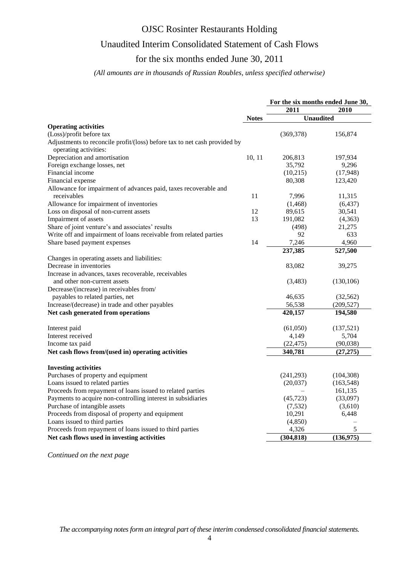## Unaudited Interim Consolidated Statement of Cash Flows

# for the six months ended June 30, 2011

### *(All amounts are in thousands of Russian Roubles, unless specified otherwise)*

|                                                                                                    |              | For the six months ended June 30, |                    |  |  |
|----------------------------------------------------------------------------------------------------|--------------|-----------------------------------|--------------------|--|--|
|                                                                                                    |              | 2011                              | 2010               |  |  |
|                                                                                                    | <b>Notes</b> | <b>Unaudited</b>                  |                    |  |  |
| <b>Operating activities</b>                                                                        |              |                                   |                    |  |  |
| (Loss)/profit before tax                                                                           |              | (369, 378)                        | 156,874            |  |  |
| Adjustments to reconcile profit/(loss) before tax to net cash provided by<br>operating activities: |              |                                   |                    |  |  |
| Depreciation and amortisation                                                                      | 10, 11       | 206,813                           | 197,934            |  |  |
| Foreign exchange losses, net                                                                       |              | 35,792                            | 9,296              |  |  |
| Financial income                                                                                   |              | (10,215)                          | (17, 948)          |  |  |
| Financial expense                                                                                  |              | 80,308                            | 123,420            |  |  |
| Allowance for impairment of advances paid, taxes recoverable and                                   |              |                                   |                    |  |  |
| receivables                                                                                        | 11           | 7,996                             | 11,315             |  |  |
| Allowance for impairment of inventories                                                            |              | (1, 468)                          | (6, 437)           |  |  |
| Loss on disposal of non-current assets                                                             | 12           | 89,615                            | 30,541             |  |  |
| Impairment of assets                                                                               | 13           | 191,082                           | (4,363)            |  |  |
| Share of joint venture's and associates' results                                                   |              | (498)                             | 21,275             |  |  |
| Write off and impairment of loans receivable from related parties                                  |              | 92                                | 633                |  |  |
| Share based payment expenses                                                                       | 14           | 7,246                             | 4,960              |  |  |
|                                                                                                    |              | 237,385                           | 527,500            |  |  |
| Changes in operating assets and liabilities:                                                       |              |                                   |                    |  |  |
| Decrease in inventories                                                                            |              | 83,082                            | 39,275             |  |  |
| Increase in advances, taxes recoverable, receivables                                               |              |                                   |                    |  |  |
| and other non-current assets                                                                       |              | (3,483)                           | (130, 106)         |  |  |
| Decrease/(increase) in receivables from/                                                           |              |                                   |                    |  |  |
| payables to related parties, net                                                                   |              | 46,635                            | (32, 562)          |  |  |
| Increase/(decrease) in trade and other payables                                                    |              | 56,538                            | (209, 527)         |  |  |
| Net cash generated from operations                                                                 |              | 420,157                           | 194,580            |  |  |
|                                                                                                    |              | (61,050)                          |                    |  |  |
| Interest paid                                                                                      |              | 4,149                             | (137,521)<br>5,704 |  |  |
| Interest received                                                                                  |              | (22, 475)                         | (90,038)           |  |  |
| Income tax paid                                                                                    |              |                                   |                    |  |  |
| Net cash flows from/(used in) operating activities                                                 |              | 340,781                           | (27, 275)          |  |  |
| <b>Investing activities</b>                                                                        |              |                                   |                    |  |  |
| Purchases of property and equipment                                                                |              | (241, 293)                        | (104, 308)         |  |  |
| Loans issued to related parties                                                                    |              | (20,037)                          | (163, 548)         |  |  |
| Proceeds from repayment of loans issued to related parties                                         |              |                                   | 161,135            |  |  |
| Payments to acquire non-controlling interest in subsidiaries                                       |              | (45, 723)                         | (33,097)           |  |  |
| Purchase of intangible assets                                                                      |              | (7, 532)                          | (3,610)            |  |  |
| Proceeds from disposal of property and equipment                                                   |              | 10,291                            | 6,448              |  |  |
| Loans issued to third parties                                                                      |              | (4, 850)                          |                    |  |  |
| Proceeds from repayment of loans issued to third parties                                           |              | 4,326                             | 5                  |  |  |
| Net cash flows used in investing activities                                                        |              | (304, 818)                        | (136,975)          |  |  |

*Continued on the next page*

*The accompanying notes form an integral part of these interim condensed consolidated financial statements.*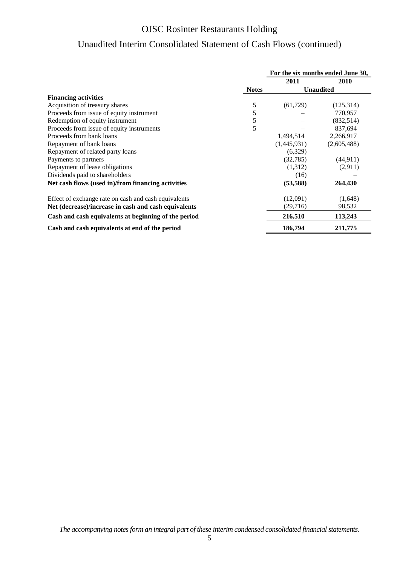# Unaudited Interim Consolidated Statement of Cash Flows (continued)

|                                                      |              | For the six months ended June 30, |                  |  |  |
|------------------------------------------------------|--------------|-----------------------------------|------------------|--|--|
|                                                      |              | 2011                              | <b>2010</b>      |  |  |
|                                                      | <b>Notes</b> |                                   | <b>Unaudited</b> |  |  |
| <b>Financing activities</b>                          |              |                                   |                  |  |  |
| Acquisition of treasury shares                       | 5            | (61, 729)                         | (125,314)        |  |  |
| Proceeds from issue of equity instrument             | 5            |                                   | 770,957          |  |  |
| Redemption of equity instrument                      | 5            |                                   | (832, 514)       |  |  |
| Proceeds from issue of equity instruments            | 5            |                                   | 837,694          |  |  |
| Proceeds from bank loans                             |              | 1,494,514                         | 2,266,917        |  |  |
| Repayment of bank loans                              |              | (1,445,931)                       | (2,605,488)      |  |  |
| Repayment of related party loans                     |              | (6,329)                           |                  |  |  |
| Payments to partners                                 |              | (32, 785)                         | (44, 911)        |  |  |
| Repayment of lease obligations                       |              | (1,312)                           | (2,911)          |  |  |
| Dividends paid to shareholders                       |              | (16)                              |                  |  |  |
| Net cash flows (used in)/from financing activities   |              | (53, 588)                         | 264,430          |  |  |
| Effect of exchange rate on cash and cash equivalents |              | (12,091)                          | (1,648)          |  |  |
| Net (decrease)/increase in cash and cash equivalents |              | (29, 716)                         | 98,532           |  |  |
| Cash and cash equivalents at beginning of the period |              | 216,510                           | 113,243          |  |  |
| Cash and cash equivalents at end of the period       |              | 186,794                           | 211,775          |  |  |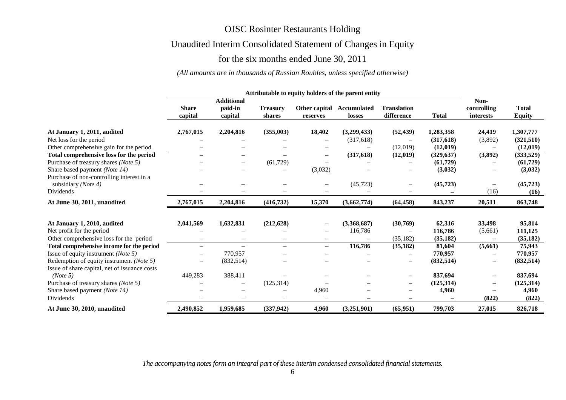# Unaudited Interim Consolidated Statement of Changes in Equity

# for the six months ended June 30, 2011

### *(All amounts are in thousands of Russian Roubles, unless specified otherwise)*

|                                                                  | Attributable to equity holders of the parent entity |                                         |                           |                   |                                     |                                  |              |                                         |                               |
|------------------------------------------------------------------|-----------------------------------------------------|-----------------------------------------|---------------------------|-------------------|-------------------------------------|----------------------------------|--------------|-----------------------------------------|-------------------------------|
|                                                                  | <b>Share</b><br>capital                             | <b>Additional</b><br>paid-in<br>capital | <b>Treasury</b><br>shares | reserves          | Other capital Accumulated<br>losses | <b>Translation</b><br>difference | <b>Total</b> | Non-<br>controlling<br><i>interests</i> | <b>Total</b><br><b>Equity</b> |
| At January 1, 2011, audited                                      | 2,767,015                                           | 2,204,816                               | (355,003)                 | 18,402            | (3,299,433)                         | (52, 439)                        | 1,283,358    | 24,419                                  | 1,307,777                     |
| Net loss for the period                                          |                                                     |                                         |                           |                   | (317,618)                           |                                  | (317,618)    | (3,892)                                 | (321,510)                     |
| Other comprehensive gain for the period                          |                                                     | $\qquad \qquad -$                       |                           | $\qquad \qquad -$ |                                     | (12,019)                         | (12,019)     |                                         | (12,019)                      |
| Total comprehensive loss for the period                          | $\overline{\phantom{0}}$                            | $\overline{\phantom{0}}$                | $\overline{\phantom{0}}$  | $-$               | (317, 618)                          | (12,019)                         | (329, 637)   | (3,892)                                 | (333,529)                     |
| Purchase of treasury shares (Note 5)                             |                                                     | $\qquad \qquad -$                       | (61, 729)                 |                   |                                     |                                  | (61,729)     |                                         | (61, 729)                     |
| Share based payment (Note 14)                                    |                                                     | -                                       |                           | (3,032)           |                                     |                                  | (3,032)      |                                         | (3,032)                       |
| Purchase of non-controlling interest in a<br>subsidiary (Note 4) |                                                     |                                         |                           | —                 | (45, 723)                           |                                  | (45, 723)    | $\overline{\phantom{m}}$                | (45, 723)                     |
| Dividends                                                        |                                                     |                                         |                           |                   |                                     |                                  |              | (16)                                    | (16)                          |
| At June 30, 2011, unaudited                                      | 2,767,015                                           | 2,204,816                               | (416, 732)                | 15,370            | (3,662,774)                         | (64, 458)                        | 843,237      | 20,511                                  | 863,748                       |
| At January 1, 2010, audited                                      | 2,041,569                                           | 1,632,831                               | (212, 628)                |                   | (3,368,687)                         | (30,769)                         | 62,316       | 33,498                                  | 95,814                        |
| Net profit for the period                                        |                                                     |                                         |                           |                   | 116,786                             |                                  | 116,786      | (5,661)                                 | 111,125                       |
| Other comprehensive loss for the period                          |                                                     | $\qquad \qquad -$                       |                           | $\qquad \qquad -$ |                                     | (35, 182)                        | (35, 182)    |                                         | (35, 182)                     |
| Total comprehensive income for the period                        | -                                                   | $\overline{\phantom{0}}$                |                           | $-$               | 116,786                             | (35, 182)                        | 81,604       | (5,661)                                 | 75,943                        |
| Issue of equity instrument (Note 5)                              |                                                     | 770,957                                 |                           |                   |                                     |                                  | 770,957      |                                         | 770,957                       |
| Redemption of equity instrument (Note 5)                         |                                                     | (832, 514)                              |                           |                   |                                     | $\overbrace{\phantom{1232211}}$  | (832, 514)   |                                         | (832, 514)                    |
| Issue of share capital, net of issuance costs                    |                                                     |                                         |                           |                   |                                     |                                  |              |                                         |                               |
| (Note 5)                                                         | 449,283                                             | 388,411                                 |                           |                   |                                     |                                  | 837,694      |                                         | 837,694                       |
| Purchase of treasury shares (Note 5)                             |                                                     | $\overline{\phantom{0}}$                | (125, 314)                |                   |                                     |                                  | (125, 314)   |                                         | (125, 314)                    |
| Share based payment (Note 14)                                    |                                                     |                                         |                           | 4,960             |                                     |                                  | 4,960        |                                         | 4,960                         |
| Dividends                                                        |                                                     |                                         |                           |                   |                                     |                                  |              | (822)                                   | (822)                         |
| At June 30, 2010, unaudited                                      | 2,490,852                                           | 1,959,685                               | (337,942)                 | 4,960             | (3,251,901)                         | (65, 951)                        | 799,703      | 27,015                                  | 826,718                       |

*The accompanying notes form an integral part of these interim condensed consolidated financial statements.*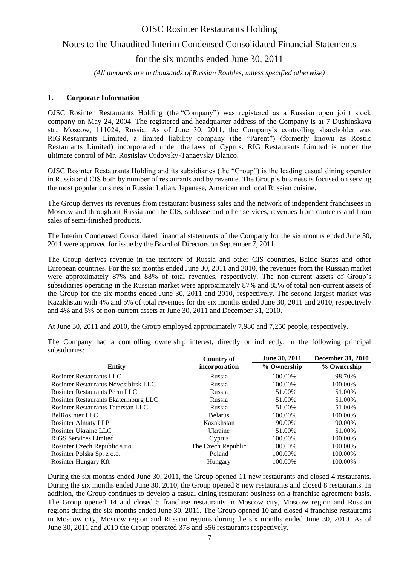### Notes to the Unaudited Interim Condensed Consolidated Financial Statements

for the six months ended June 30, 2011

*(All amounts are in thousands of Russian Roubles, unless specified otherwise)*

#### **1. Corporate Information**

OJSC Rosinter Restaurants Holding (the "Company") was registered as a Russian open joint stock company on May 24, 2004. The registered and headquarter address of the Company is at 7 Dushinskaya str., Moscow, 111024, Russia. As of June 30, 2011, the Company's controlling shareholder was RIG Restaurants Limited, a limited liability company (the "Parent") (formerly known as Rostik Restaurants Limited) incorporated under the laws of Cyprus. RIG Restaurants Limited is under the ultimate control of Mr. Rostislav Ordovsky-Tanaevsky Blanco.

OJSC Rosinter Restaurants Holding and its subsidiaries (the "Group") is the leading casual dining operator in Russia and CIS both by number of restaurants and by revenue. The Group's business is focused on serving the most popular cuisines in Russia: Italian, Japanese, American and local Russian cuisine.

The Group derives its revenues from restaurant business sales and the network of independent franchisees in Moscow and throughout Russia and the CIS, sublease and other services, revenues from canteens and from sales of semi-finished products.

The Interim Condensed Consolidated financial statements of the Company for the six months ended June 30, 2011 were approved for issue by the Board of Directors on September 7, 2011.

The Group derives revenue in the territory of Russia and other CIS countries, Baltic States and other European countries. For the six months ended June 30, 2011 and 2010, the revenues from the Russian market were approximately 87% and 88% of total revenues, respectively. The non-current assets of Group's subsidiaries operating in the Russian market were approximately 87% and 85% of total non-current assets of the Group for the six months ended June 30, 2011 and 2010, respectively. The second largest market was Kazakhstan with 4% and 5% of total revenues for the six months ended June 30, 2011 and 2010, respectively and 4% and 5% of non-current assets at June 30, 2011 and December 31, 2010.

At June 30, 2011 and 2010, the Group employed approximately 7,980 and 7,250 people, respectively.

|                                       | <b>Country of</b>  | June 30, 2011 | <b>December 31, 2010</b> |
|---------------------------------------|--------------------|---------------|--------------------------|
| <b>Entity</b>                         | incorporation      | % Ownership   | % Ownership              |
| Rosinter Restaurants LLC              | Russia             | 100.00%       | 98.70%                   |
| Rosinter Restaurants Novosibirsk LLC  | Russia             | 100.00%       | 100.00%                  |
| <b>Rosinter Restaurants Perm LLC</b>  | Russia             | 51.00%        | 51.00%                   |
| Rosinter Restaurants Ekaterinburg LLC | Russia             | 51.00%        | 51.00%                   |
| Rosinter Restaurants Tatarstan LLC    | Russia             | 51.00%        | 51.00%                   |
| BelRosInter LLC                       | <b>Belarus</b>     | 100.00%       | 100.00%                  |
| <b>Rosinter Almaty LLP</b>            | Kazakhstan         | 90.00%        | 90.00%                   |
| Rosinter Ukraine LLC                  | Ukraine            | 51.00%        | 51.00%                   |
| RIGS Services Limited                 | Cyprus             | 100.00%       | 100.00%                  |
| Rosinter Czech Republic s.r.o.        | The Czech Republic | 100.00%       | 100.00%                  |
| Rosinter Polska Sp. z o.o.            | Poland             | 100.00%       | 100.00%                  |
| Rosinter Hungary Kft                  | Hungary            | 100.00%       | 100.00%                  |

The Company had a controlling ownership interest, directly or indirectly, in the following principal subsidiaries:

During the six months ended June 30, 2011, the Group opened 11 new restaurants and closed 4 restaurants. During the six months ended June 30, 2010, the Group opened 8 new restaurants and closed 8 restaurants. In addition, the Group continues to develop a casual dining restaurant business on a franchise agreement basis. The Group opened 14 and closed 5 franchise restaurants in Moscow city, Moscow region and Russian regions during the six months ended June 30, 2011. The Group opened 10 and closed 4 franchise restaurants in Moscow city, Moscow region and Russian regions during the six months ended June 30, 2010. As of June 30, 2011 and 2010 the Group operated 378 and 356 restaurants respectively.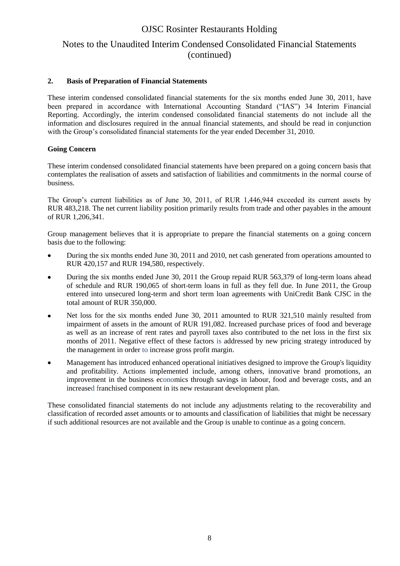### Notes to the Unaudited Interim Condensed Consolidated Financial Statements (continued)

### **2. Basis of Preparation of Financial Statements**

These interim condensed consolidated financial statements for the six months ended June 30, 2011, have been prepared in accordance with International Accounting Standard ("IAS") 34 Interim Financial Reporting. Accordingly, the interim condensed consolidated financial statements do not include all the information and disclosures required in the annual financial statements, and should be read in conjunction with the Group's consolidated financial statements for the year ended December 31, 2010.

### **Going Concern**

These interim condensed consolidated financial statements have been prepared on a going concern basis that contemplates the realisation of assets and satisfaction of liabilities and commitments in the normal course of business.

The Group's current liabilities as of June 30, 2011, of RUR 1,446,944 exceeded its current assets by RUR 483,218. The net current liability position primarily results from trade and other payables in the amount of RUR 1,206,341.

Group management believes that it is appropriate to prepare the financial statements on a going concern basis due to the following:

- $\bullet$ During the six months ended June 30, 2011 and 2010, net cash generated from operations amounted to RUR 420,157 and RUR 194,580, respectively.
- During the six months ended June 30, 2011 the Group repaid RUR 563,379 of long-term loans ahead of schedule and RUR 190,065 of short-term loans in full as they fell due. In June 2011, the Group entered into unsecured long-term and short term loan agreements with UniCredit Bank CJSC in the total amount of RUR 350,000.
- Net loss for the six months ended June 30, 2011 amounted to RUR 321,510 mainly resulted from  $\bullet$ impairment of assets in the amount of RUR 191,082. Increased purchase prices of food and beverage as well as an increase of rent rates and payroll taxes also contributed to the net loss in the first six months of 2011. Negative effect of these factors is addressed by new pricing strategy introduced by the management in order to increase gross profit margin.
- $\bullet$ Management has introduced enhanced operational initiatives designed to improve the Group's liquidity and profitability. Actions implemented include, among others, innovative brand promotions, an improvement in the business economics through savings in labour, food and beverage costs, and an increased franchised component in its new restaurant development plan.

These consolidated financial statements do not include any adjustments relating to the recoverability and classification of recorded asset amounts or to amounts and classification of liabilities that might be necessary if such additional resources are not available and the Group is unable to continue as a going concern.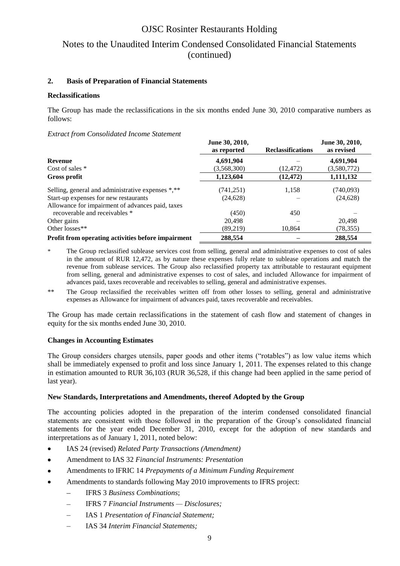## Notes to the Unaudited Interim Condensed Consolidated Financial Statements (continued)

### **2. Basis of Preparation of Financial Statements**

#### **Reclassifications**

The Group has made the reclassifications in the six months ended June 30, 2010 comparative numbers as follows:

#### *Extract from Consolidated Income Statement*

|                                                    | June 30, 2010,<br>as reported | <b>Reclassifications</b> | June 30, 2010,<br>as revised |
|----------------------------------------------------|-------------------------------|--------------------------|------------------------------|
| <b>Revenue</b>                                     | 4,691,904                     |                          | 4,691,904                    |
| Cost of sales $*$                                  | (3,568,300)                   | (12, 472)                | (3,580,772)                  |
| Gross profit                                       | 1,123,604                     | (12, 472)                | 1,111,132                    |
| Selling, general and administrative expenses *,**  | (741,251)                     | 1,158                    | (740,093)                    |
| Start-up expenses for new restaurants              | (24, 628)                     |                          | (24, 628)                    |
| Allowance for impairment of advances paid, taxes   |                               |                          |                              |
| recoverable and receivables *                      | (450)                         | 450                      |                              |
| Other gains                                        | 20,498                        |                          | 20.498                       |
| Other losses**                                     | (89,219)                      | 10,864                   | (78, 355)                    |
| Profit from operating activities before impairment | 288,554                       |                          | 288,554                      |

The Group reclassified sublease services cost from selling, general and administrative expenses to cost of sales in the amount of RUR 12,472, as by nature these expenses fully relate to sublease operations and match the revenue from sublease services. The Group also reclassified property tax attributable to restaurant equipment from selling, general and administrative expenses to cost of sales, and included Allowance for impairment of advances paid, taxes recoverable and receivables to selling, general and administrative expenses.

\*\* The Group reclassified the receivables written off from other losses to selling, general and administrative expenses as Allowance for impairment of advances paid, taxes recoverable and receivables.

The Group has made certain reclassifications in the statement of cash flow and statement of changes in equity for the six months ended June 30, 2010.

#### **Changes in Accounting Estimates**

The Group considers charges utensils, paper goods and other items ("rotables") as low value items which shall be immediately expensed to profit and loss since January 1, 2011. The expenses related to this change in estimation amounted to RUR 36,103 (RUR 36,528, if this change had been applied in the same period of last year).

#### **New Standards, Interpretations and Amendments, thereof Adopted by the Group**

The accounting policies adopted in the preparation of the interim condensed consolidated financial statements are consistent with those followed in the preparation of the Group's consolidated financial statements for the year ended December 31, 2010, except for the adoption of new standards and interpretations as of January 1, 2011, noted below:

- IAS 24 (revised) *Related Party Transactions (Amendment)*  $\bullet$
- Amendment to IAS 32 *Financial Instruments: Presentation*  $\bullet$
- Amendments to IFRIC 14 *Prepayments of a Minimum Funding Requirement*  $\bullet$
- Amendments to standards following May 2010 improvements to IFRS project:  $\bullet$ 
	- $\equiv$ IFRS 3 *Business Combinations*;
	- $\frac{1}{2}$ IFRS 7 *Financial Instruments — Disclosures;*
	- IAS 1 *Presentation of Financial Statement;*
	- IAS 34 *Interim Financial Statements;* $\overline{\phantom{0}}$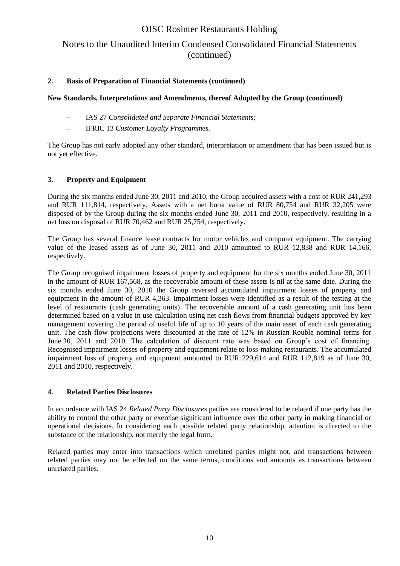### Notes to the Unaudited Interim Condensed Consolidated Financial Statements (continued)

### **2. Basis of Preparation of Financial Statements (continued)**

### **New Standards, Interpretations and Amendments, thereof Adopted by the Group (continued)**

- IAS 27 *Consolidated and Separate Financial Statements;*  $\equiv$
- IFRIC 13 *Customer Loyalty Programmes.*

The Group has not early adopted any other standard, interpretation or amendment that has been issued but is not yet effective.

### **3. Property and Equipment**

During the six months ended June 30, 2011 and 2010, the Group acquired assets with a cost of RUR 241,293 and RUR 111,814, respectively. Assets with a net book value of RUR 80,754 and RUR 32,205 were disposed of by the Group during the six months ended June 30, 2011 and 2010, respectively, resulting in a net loss on disposal of RUR 70,462 and RUR 25,754, respectively.

The Group has several finance lease contracts for motor vehicles and computer equipment. The carrying value of the leased assets as of June 30, 2011 and 2010 amounted to RUR 12,838 and RUR 14,166, respectively.

The Group recognised impairment losses of property and equipment for the six months ended June 30, 2011 in the amount of RUR 167,568, as the recoverable amount of these assets is nil at the same date. During the six months ended June 30, 2010 the Group reversed accumulated impairment losses of property and equipment in the amount of RUR 4,363. Impairment losses were identified as a result of the testing at the level of restaurants (cash generating units). The recoverable amount of a cash generating unit has been determined based on a value in use calculation using net cash flows from financial budgets approved by key management covering the period of useful life of up to 10 years of the main asset of each cash generating unit. The cash flow projections were discounted at the rate of 12% in Russian Rouble nominal terms for June 30, 2011 and 2010. The calculation of discount rate was based on Group's cost of financing. Recognised impairment losses of property and equipment relate to loss-making restaurants. The accumulated impairment loss of property and equipment amounted to RUR 229,614 and RUR 112,819 as of June 30, 2011 and 2010, respectively.

### **4. Related Parties Disclosures**

In accordance with IAS 24 *Related Party Disclosures* parties are considered to be related if one party has the ability to control the other party or exercise significant influence over the other party in making financial or operational decisions. In considering each possible related party relationship, attention is directed to the substance of the relationship, not merely the legal form.

Related parties may enter into transactions which unrelated parties might not, and transactions between related parties may not be effected on the same terms, conditions and amounts as transactions between unrelated parties.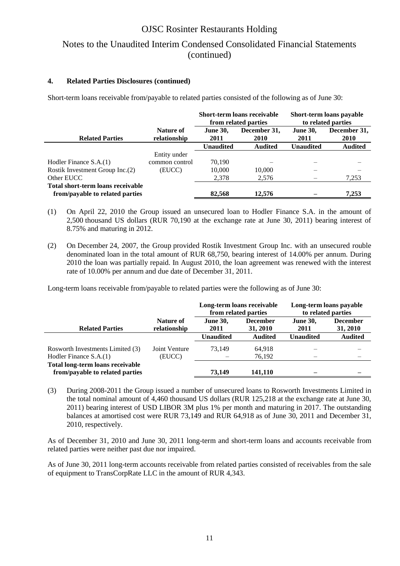## Notes to the Unaudited Interim Condensed Consolidated Financial Statements (continued)

### **4. Related Parties Disclosures (continued)**

Short-term loans receivable from/payable to related parties consisted of the following as of June 30:

|                                   |                           | Short-term loans receivable<br>from related parties |                      |                         | Short-term loans payable<br>to related parties |
|-----------------------------------|---------------------------|-----------------------------------------------------|----------------------|-------------------------|------------------------------------------------|
| <b>Related Parties</b>            | Nature of<br>relationship | <b>June 30,</b><br>2011                             | December 31,<br>2010 | <b>June 30,</b><br>2011 | December 31,<br><b>2010</b>                    |
|                                   |                           | <b>Unaudited</b>                                    | <b>Audited</b>       | <b>Unaudited</b>        | <b>Audited</b>                                 |
|                                   | Entity under              |                                                     |                      |                         |                                                |
| Hodler Finance S.A.(1)            | common control            | 70.190                                              |                      |                         |                                                |
| Rostik Investment Group Inc.(2)   | (EUCC)                    | 10,000                                              | 10,000               |                         |                                                |
| Other EUCC                        |                           | 2,378                                               | 2,576                |                         | 7,253                                          |
| Total short-term loans receivable |                           |                                                     |                      |                         |                                                |
| from/payable to related parties   |                           | 82,568                                              | 12.576               |                         | 7.253                                          |

- (1) On April 22, 2010 the Group issued an unsecured loan to Hodler Finance S.A. in the amount of 2,500 thousand US dollars (RUR 70,190 at the exchange rate at June 30, 2011) bearing interest of 8.75% and maturing in 2012.
- (2) On December 24, 2007, the Group provided Rostik Investment Group Inc. with an unsecured rouble denominated loan in the total amount of RUR 68,750, bearing interest of 14.00% per annum. During 2010 the loan was partially repaid. In August 2010, the loan agreement was renewed with the interest rate of 10.00% per annum and due date of December 31, 2011.

Long-term loans receivable from/payable to related parties were the following as of June 30:

|                                                                     |                           | Long-term loans receivable<br>from related parties |                             | to related parties      | Long-term loans payable     |
|---------------------------------------------------------------------|---------------------------|----------------------------------------------------|-----------------------------|-------------------------|-----------------------------|
| <b>Related Parties</b>                                              | Nature of<br>relationship | <b>June 30,</b><br>2011                            | <b>December</b><br>31, 2010 | <b>June 30,</b><br>2011 | <b>December</b><br>31, 2010 |
|                                                                     |                           | <b>Unaudited</b>                                   | <b>Audited</b>              | <b>Unaudited</b>        | <b>Audited</b>              |
| Rosworth Investments Limited (3)<br>Hodler Finance S.A.(1)          | Joint Venture<br>(EUCC)   | 73.149                                             | 64,918<br>76,192            |                         |                             |
| Total long-term loans receivable<br>from/payable to related parties |                           | 73,149                                             | 141.110                     |                         |                             |

(3) During 2008-2011 the Group issued a number of unsecured loans to Rosworth Investments Limited in the total nominal amount of 4,460 thousand US dollars (RUR 125,218 at the exchange rate at June 30, 2011) bearing interest of USD LIBOR 3M plus 1% per month and maturing in 2017. The outstanding balances at amortised cost were RUR 73,149 and RUR 64,918 as of June 30, 2011 and December 31, 2010, respectively.

As of December 31, 2010 and June 30, 2011 long-term and short-term loans and accounts receivable from related parties were neither past due nor impaired.

As of June 30, 2011 long-term accounts receivable from related parties consisted of receivables from the sale of equipment to TransCorpRate LLC in the amount of RUR 4,343.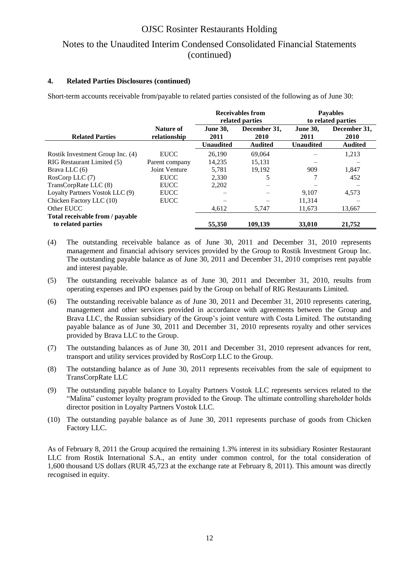## Notes to the Unaudited Interim Condensed Consolidated Financial Statements (continued)

### **4. Related Parties Disclosures (continued)**

Short-term accounts receivable from/payable to related parties consisted of the following as of June 30:

|                                  |                | <b>Receivables from</b> |                 | <b>Payables</b>  |                    |  |
|----------------------------------|----------------|-------------------------|-----------------|------------------|--------------------|--|
|                                  |                |                         | related parties |                  | to related parties |  |
|                                  | Nature of      | <b>June 30,</b>         | December 31,    | <b>June 30,</b>  | December 31,       |  |
| <b>Related Parties</b>           | relationship   | 2011                    | 2010            | 2011             | 2010               |  |
|                                  |                | <b>Unaudited</b>        | <b>Audited</b>  | <b>Unaudited</b> | <b>Audited</b>     |  |
| Rostik Investment Group Inc. (4) | <b>EUCC</b>    | 26,190                  | 69,064          |                  | 1,213              |  |
| RIG Restaurant Limited (5)       | Parent company | 14,235                  | 15,131          |                  |                    |  |
| Brava LLC $(6)$                  | Joint Venture  | 5,781                   | 19.192          | 909              | 1,847              |  |
| RosCorp LLC (7)                  | <b>EUCC</b>    | 2,330                   |                 |                  | 452                |  |
| TransCorpRate LLC (8)            | <b>EUCC</b>    | 2,202                   |                 |                  |                    |  |
| Loyalty Partners Vostok LLC (9)  | <b>EUCC</b>    |                         |                 | 9.107            | 4,573              |  |
| Chicken Factory LLC (10)         | <b>EUCC</b>    |                         |                 | 11,314           |                    |  |
| Other EUCC                       |                | 4,612                   | 5,747           | 11,673           | 13,667             |  |
| Total receivable from / payable  |                |                         |                 |                  |                    |  |
| to related parties               |                | 55,350                  | 109.139         | 33,010           | 21,752             |  |

- (4) The outstanding receivable balance as of June 30, 2011 and December 31, 2010 represents management and financial advisory services provided by the Group to Rostik Investment Group Inc. The outstanding payable balance as of June 30, 2011 and December 31, 2010 comprises rent payable and interest payable.
- (5) The outstanding receivable balance as of June 30, 2011 and December 31, 2010, results from operating expenses and IPO expenses paid by the Group on behalf of RIG Restaurants Limited.
- (6) The outstanding receivable balance as of June 30, 2011 and December 31, 2010 represents catering, management and other services provided in accordance with agreements between the Group and Brava LLC, the Russian subsidiary of the Group's joint venture with Costa Limited. The outstanding payable balance as of June 30, 2011 and December 31, 2010 represents royalty and other services provided by Brava LLC to the Group.
- (7) The outstanding balances as of June 30, 2011 and December 31, 2010 represent advances for rent, transport and utility services provided by RosCorp LLC to the Group.
- (8) The outstanding balance as of June 30, 2011 represents receivables from the sale of equipment to TransCorpRate LLC
- (9) The outstanding payable balance to Loyalty Partners Vostok LLC represents services related to the "Malina" customer loyalty program provided to the Group. The ultimate controlling shareholder holds director position in Loyalty Partners Vostok LLC.
- (10) The outstanding payable balance as of June 30, 2011 represents purchase of goods from Chicken Factory LLC.

As of February 8, 2011 the Group acquired the remaining 1.3% interest in its subsidiary Rosinter Restaurant LLC from Rostik International S.A., an entity under common control, for the total consideration of 1,600 thousand US dollars (RUR 45,723 at the exchange rate at February 8, 2011). This amount was directly recognised in equity.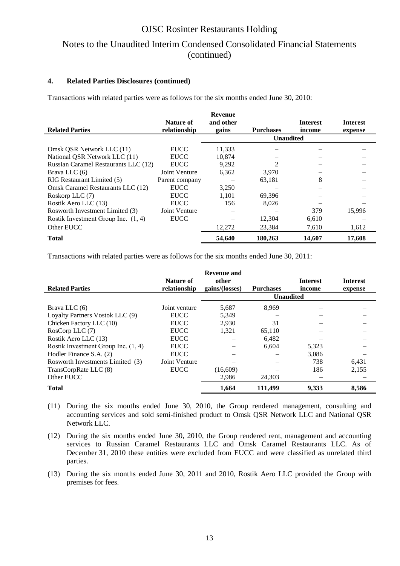## Notes to the Unaudited Interim Condensed Consolidated Financial Statements (continued)

#### **4. Related Parties Disclosures (continued)**

Transactions with related parties were as follows for the six months ended June 30, 2010:

|                                       |                | <b>Revenue</b> |                  |                 |                 |
|---------------------------------------|----------------|----------------|------------------|-----------------|-----------------|
|                                       | Nature of      | and other      |                  | <b>Interest</b> | <b>Interest</b> |
| <b>Related Parties</b>                | relationship   | gains          | <b>Purchases</b> | income          | expense         |
|                                       |                |                | <b>Unaudited</b> |                 |                 |
| Omsk OSR Network LLC (11)             | <b>EUCC</b>    | 11,333         |                  |                 |                 |
| National QSR Network LLC (11)         | <b>EUCC</b>    | 10.874         |                  |                 |                 |
| Russian Caramel Restaurants LLC (12)  | <b>EUCC</b>    | 9,292          |                  |                 |                 |
| Brava LLC $(6)$                       | Joint Venture  | 6,362          | 3,970            |                 |                 |
| RIG Restaurant Limited (5)            | Parent company |                | 63.181           | 8               |                 |
| Omsk Caramel Restaurants LLC (12)     | <b>EUCC</b>    | 3,250          |                  |                 |                 |
| Roskorp LLC (7)                       | <b>EUCC</b>    | 1.101          | 69,396           |                 |                 |
| Rostik Aero LLC (13)                  | <b>EUCC</b>    | 156            | 8,026            |                 |                 |
| Rosworth Investment Limited (3)       | Joint Venture  |                |                  | 379             | 15,996          |
| Rostik Investment Group Inc. $(1, 4)$ | <b>EUCC</b>    |                | 12,304           | 6,610           |                 |
| Other EUCC                            |                | 12,272         | 23,384           | 7,610           | 1,612           |
| <b>Total</b>                          |                | 54,640         | 180,263          | 14,607          | 17,608          |

Transactions with related parties were as follows for the six months ended June 30, 2011:

| <b>Related Parties</b>                | Nature of<br>relationship | Revenue and<br>other<br>gains/(losses) | <b>Purchases</b> | <b>Interest</b><br>income | <b>Interest</b><br>expense |
|---------------------------------------|---------------------------|----------------------------------------|------------------|---------------------------|----------------------------|
|                                       |                           |                                        | <b>Unaudited</b> |                           |                            |
| Brava LLC $(6)$                       | Joint venture             | 5,687                                  | 8,969            |                           |                            |
| Loyalty Partners Vostok LLC (9)       | <b>EUCC</b>               | 5,349                                  |                  |                           |                            |
| Chicken Factory LLC (10)              | <b>EUCC</b>               | 2.930                                  | 31               |                           |                            |
| RosCorp LLC (7)                       | <b>EUCC</b>               | 1.321                                  | 65,110           |                           |                            |
| Rostik Aero LLC (13)                  | <b>EUCC</b>               |                                        | 6.482            |                           |                            |
| Rostik Investment Group Inc. $(1, 4)$ | <b>EUCC</b>               |                                        | 6.604            | 5,323                     |                            |
| Hodler Finance S.A. (2)               | <b>EUCC</b>               |                                        |                  | 3.086                     |                            |
| Rosworth Investments Limited (3)      | Joint Venture             |                                        |                  | 738                       | 6,431                      |
| TransCorpRate LLC (8)                 | <b>EUCC</b>               | (16,609)                               |                  | 186                       | 2,155                      |
| Other EUCC                            |                           | 2,986                                  | 24,303           |                           |                            |
| <b>Total</b>                          |                           | 1,664                                  | 111,499          | 9,333                     | 8,586                      |

- (11) During the six months ended June 30, 2010, the Group rendered management, consulting and accounting services and sold semi-finished product to Omsk QSR Network LLC and National QSR Network LLC.
- (12) During the six months ended June 30, 2010, the Group rendered rent, management and accounting services to Russian Caramel Restaurants LLC and Omsk Caramel Restaurants LLC. As of December 31, 2010 these entities were excluded from EUCC and were classified as unrelated third parties.
- (13) During the six months ended June 30, 2011 and 2010, Rostik Aero LLC provided the Group with premises for fees.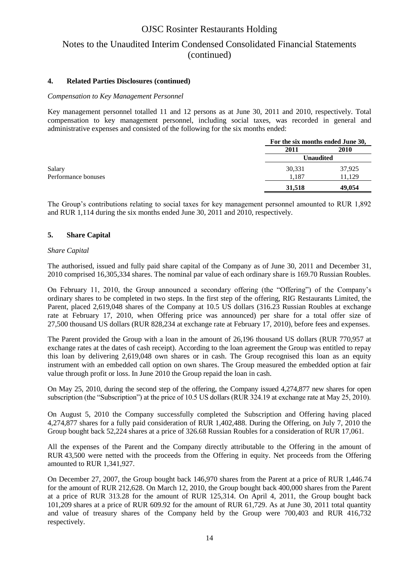### Notes to the Unaudited Interim Condensed Consolidated Financial Statements (continued)

### **4. Related Parties Disclosures (continued)**

#### *Compensation to Key Management Personnel*

Key management personnel totalled 11 and 12 persons as at June 30, 2011 and 2010, respectively. Total compensation to key management personnel, including social taxes, was recorded in general and administrative expenses and consisted of the following for the six months ended:

|                     |                  | For the six months ended June 30, |  |
|---------------------|------------------|-----------------------------------|--|
|                     | 2011             | <b>2010</b>                       |  |
|                     | <b>Unaudited</b> |                                   |  |
| Salary              | 30,331           | 37,925                            |  |
| Performance bonuses | 1,187            | 11,129                            |  |
|                     | 31,518           | 49,054                            |  |

The Group's contributions relating to social taxes for key management personnel amounted to RUR 1,892 and RUR 1,114 during the six months ended June 30, 2011 and 2010, respectively.

#### **5. Share Capital**

#### *Share Capital*

The authorised, issued and fully paid share capital of the Company as of June 30, 2011 and December 31, 2010 comprised 16,305,334 shares. The nominal par value of each ordinary share is 169.70 Russian Roubles.

On February 11, 2010, the Group announced a secondary offering (the "Offering") of the Company's ordinary shares to be completed in two steps. In the first step of the offering, RIG Restaurants Limited, the Parent, placed 2,619,048 shares of the Company at 10.5 US dollars (316.23 Russian Roubles at exchange rate at February 17, 2010, when Offering price was announced) per share for a total offer size of 27,500 thousand US dollars (RUR 828,234 at exchange rate at February 17, 2010), before fees and expenses.

The Parent provided the Group with a loan in the amount of 26,196 thousand US dollars (RUR 770,957 at exchange rates at the dates of cash receipt). According to the loan agreement the Group was entitled to repay this loan by delivering 2,619,048 own shares or in cash. The Group recognised this loan as an equity instrument with an embedded call option on own shares. The Group measured the embedded option at fair value through profit or loss. In June 2010 the Group repaid the loan in cash.

On May 25, 2010, during the second step of the offering, the Company issued 4,274,877 new shares for open subscription (the "Subscription") at the price of 10.5 US dollars (RUR 324.19 at exchange rate at May 25, 2010).

On August 5, 2010 the Company successfully completed the Subscription and Offering having placed 4,274,877 shares for a fully paid consideration of RUR 1,402,488. During the Offering, on July 7, 2010 the Group bought back 52,224 shares at a price of 326.68 Russian Roubles for a consideration of RUR 17,061.

All the expenses of the Parent and the Company directly attributable to the Offering in the amount of RUR 43,500 were netted with the proceeds from the Offering in equity. Net proceeds from the Offering amounted to RUR 1,341,927.

On December 27, 2007, the Group bought back 146,970 shares from the Parent at a price of RUR 1,446.74 for the amount of RUR 212,628. On March 12, 2010, the Group bought back 400,000 shares from the Parent at a price of RUR 313.28 for the amount of RUR 125,314. On April 4, 2011, the Group bought back 101,209 shares at a price of RUR 609.92 for the amount of RUR 61,729. As at June 30, 2011 total quantity and value of treasury shares of the Company held by the Group were 700,403 and RUR 416,732 respectively.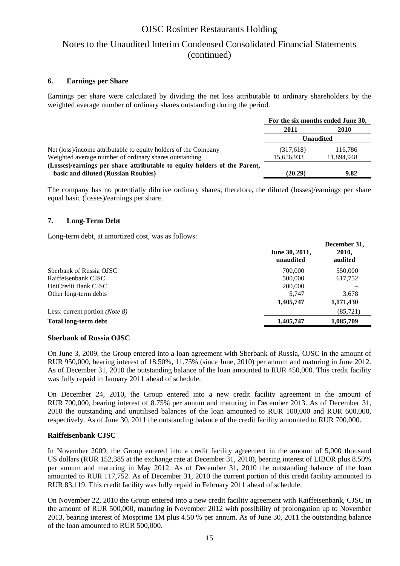### Notes to the Unaudited Interim Condensed Consolidated Financial Statements (continued)

### **6. Earnings per Share**

Earnings per share were calculated by dividing the net loss attributable to ordinary shareholders by the weighted average number of ordinary shares outstanding during the period.

|                                                                           | For the six months ended June 30, |            |
|---------------------------------------------------------------------------|-----------------------------------|------------|
|                                                                           | 2011                              | 2010       |
|                                                                           | <b>Unaudited</b>                  |            |
| Net (loss)/income attributable to equity holders of the Company           | (317,618)                         | 116.786    |
| Weighted average number of ordinary shares outstanding                    | 15,656,933                        | 11,894,948 |
| (Losses)/earnings per share attributable to equity holders of the Parent, |                                   |            |
| basic and diluted (Russian Roubles)                                       | (20.29)                           | 9.82       |

The company has no potentially dilutive ordinary shares; therefore, the diluted (losses)/earnings per share equal basic (losses)/earnings per share.

### **7. Long-Term Debt**

Long-term debt, at amortized cost, was as follows:

|                                         | June 30, 2011,<br>unaudited | December 31,<br>2010,<br>audited |
|-----------------------------------------|-----------------------------|----------------------------------|
| Sberbank of Russia OJSC                 | 700,000                     | 550,000                          |
| Raiffeisenbank CJSC                     | 500,000                     | 617,752                          |
| UniCredit Bank CJSC                     | 200,000                     |                                  |
| Other long-term debts                   | 5,747                       | 3,678                            |
|                                         | 1,405,747                   | 1,171,430                        |
| Less: current portion ( <i>Note 8</i> ) |                             | (85, 721)                        |
| <b>Total long-term debt</b>             | 1,405,747                   | 1,085,709                        |

#### **Sberbank of Russia OJSC**

On June 3, 2009, the Group entered into a loan agreement with Sberbank of Russia, OJSC in the amount of RUR 950,000, bearing interest of 18.50%, 11.75% (since June, 2010) per annum and maturing in June 2012. As of December 31, 2010 the outstanding balance of the loan amounted to RUR 450,000. This credit facility was fully repaid in January 2011 ahead of schedule.

On December 24, 2010, the Group entered into a new credit facility agreement in the amount of RUR 700,000, bearing interest of 8.75% per annum and maturing in December 2013. As of December 31, 2010 the outstanding and unutilised balances of the loan amounted to RUR 100,000 and RUR 600,000, respectively. As of June 30, 2011 the outstanding balance of the credit facility amounted to RUR 700,000.

#### **Raiffeisenbank CJSC**

In November 2009, the Group entered into a credit facility agreement in the amount of 5,000 thousand US dollars (RUR 152,385 at the exchange rate at December 31, 2010), bearing interest of LIBOR plus 8.50% per annum and maturing in May 2012. As of December 31, 2010 the outstanding balance of the loan amounted to RUR 117,752. As of December 31, 2010 the current portion of this credit facility amounted to RUR 83,119. This credit facility was fully repaid in February 2011 ahead of schedule.

On November 22, 2010 the Group entered into a new credit facility agreement with Raiffeisenbank, CJSC in the amount of RUR 500,000, maturing in November 2012 with possibility of prolongation up to November 2013, bearing interest of Mosprime 1M plus 4.50 % per annum. As of June 30, 2011 the outstanding balance of the loan amounted to RUR 500,000.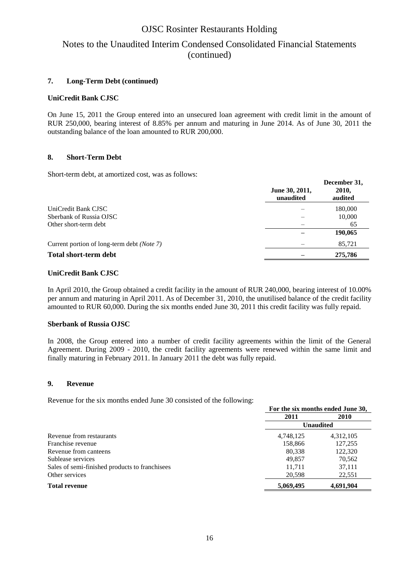### Notes to the Unaudited Interim Condensed Consolidated Financial Statements (continued)

### **7. Long-Term Debt (continued)**

### **UniCredit Bank CJSC**

On June 15, 2011 the Group entered into an unsecured loan agreement with credit limit in the amount of RUR 250,000, bearing interest of 8.85% per annum and maturing in June 2014. As of June 30, 2011 the outstanding balance of the loan amounted to RUR 200,000.

### **8. Short-Term Debt**

Short-term debt, at amortized cost, was as follows:

|                                                    | June 30, 2011,<br>unaudited | December 31,<br>2010,<br>audited |
|----------------------------------------------------|-----------------------------|----------------------------------|
| UniCredit Bank CJSC                                |                             | 180,000                          |
| Sberbank of Russia OJSC                            |                             | 10,000                           |
| Other short-term debt                              |                             | 65                               |
|                                                    |                             | 190,065                          |
| Current portion of long-term debt ( <i>Note</i> 7) |                             | 85,721                           |
| <b>Total short-term debt</b>                       |                             | 275,786                          |

### **UniCredit Bank CJSC**

In April 2010, the Group obtained a credit facility in the amount of RUR 240,000, bearing interest of 10.00% per annum and maturing in April 2011. As of December 31, 2010, the unutilised balance of the credit facility amounted to RUR 60,000. During the six months ended June 30, 2011 this credit facility was fully repaid.

#### **Sberbank of Russia OJSC**

In 2008, the Group entered into a number of credit facility agreements within the limit of the General Agreement. During 2009 - 2010, the credit facility agreements were renewed within the same limit and finally maturing in February 2011. In January 2011 the debt was fully repaid.

#### **9. Revenue**

Revenue for the six months ended June 30 consisted of the following:

|                                                | For the six months ended June 30, |           |  |
|------------------------------------------------|-----------------------------------|-----------|--|
|                                                | 2011                              | 2010      |  |
|                                                | <b>Unaudited</b>                  |           |  |
| Revenue from restaurants                       | 4,748,125                         | 4,312,105 |  |
| Franchise revenue                              | 158,866                           | 127,255   |  |
| Revenue from canteens                          | 80,338                            | 122,320   |  |
| Sublease services                              | 49.857                            | 70,562    |  |
| Sales of semi-finished products to franchisees | 11.711                            | 37,111    |  |
| Other services                                 | 20,598                            | 22,551    |  |
| <b>Total revenue</b>                           | 5,069,495                         | 4,691,904 |  |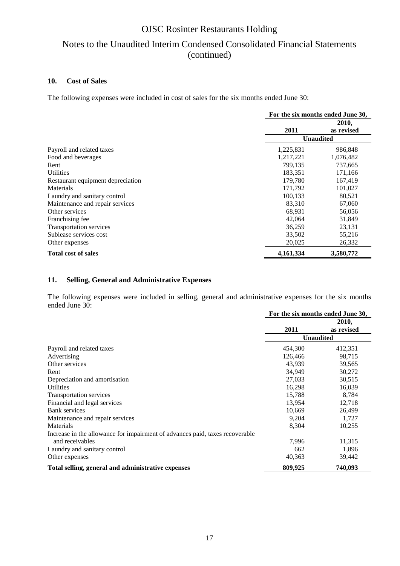## Notes to the Unaudited Interim Condensed Consolidated Financial Statements (continued)

### **10. Cost of Sales**

The following expenses were included in cost of sales for the six months ended June 30:

|                                   | For the six months ended June 30, |                     |  |
|-----------------------------------|-----------------------------------|---------------------|--|
|                                   | 2011                              | 2010,<br>as revised |  |
|                                   |                                   | <b>Unaudited</b>    |  |
| Payroll and related taxes         | 1,225,831                         | 986,848             |  |
| Food and beverages                | 1,217,221                         | 1,076,482           |  |
| Rent                              | 799,135                           | 737,665             |  |
| <b>Utilities</b>                  | 183,351                           | 171,166             |  |
| Restaurant equipment depreciation | 179,780                           | 167,419             |  |
| Materials                         | 171,792                           | 101,027             |  |
| Laundry and sanitary control      | 100,133                           | 80,521              |  |
| Maintenance and repair services   | 83,310                            | 67,060              |  |
| Other services                    | 68.931                            | 56,056              |  |
| Franchising fee                   | 42,064                            | 31,849              |  |
| <b>Transportation services</b>    | 36,259                            | 23,131              |  |
| Sublease services cost            | 33,502                            | 55,216              |  |
| Other expenses                    | 20,025                            | 26,332              |  |
| <b>Total cost of sales</b>        | 4,161,334                         | 3,580,772           |  |

### **11. Selling, General and Administrative Expenses**

The following expenses were included in selling, general and administrative expenses for the six months ended June 30:

|                                                                              | For the six months ended June 30, |                     |
|------------------------------------------------------------------------------|-----------------------------------|---------------------|
|                                                                              | 2011                              | 2010,<br>as revised |
|                                                                              |                                   | <b>Unaudited</b>    |
| Payroll and related taxes                                                    | 454,300                           | 412,351             |
| Advertising                                                                  | 126,466                           | 98,715              |
| Other services                                                               | 43,939                            | 39,565              |
| Rent                                                                         | 34,949                            | 30,272              |
| Depreciation and amortisation                                                | 27,033                            | 30,515              |
| <b>Utilities</b>                                                             | 16,298                            | 16,039              |
| <b>Transportation services</b>                                               | 15,788                            | 8,784               |
| Financial and legal services                                                 | 13,954                            | 12,718              |
| Bank services                                                                | 10,669                            | 26,499              |
| Maintenance and repair services                                              | 9,204                             | 1,727               |
| Materials                                                                    | 8,304                             | 10,255              |
| Increase in the allowance for impairment of advances paid, taxes recoverable |                                   |                     |
| and receivables                                                              | 7,996                             | 11,315              |
| Laundry and sanitary control                                                 | 662                               | 1,896               |
| Other expenses                                                               | 40,363                            | 39,442              |
| Total selling, general and administrative expenses                           | 809,925                           | 740,093             |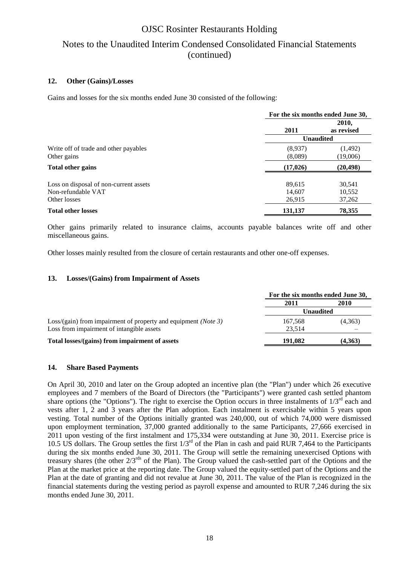## Notes to the Unaudited Interim Condensed Consolidated Financial Statements (continued)

#### **12. Other (Gains)/Losses**

Gains and losses for the six months ended June 30 consisted of the following:

|                                                      | For the six months ended June 30, |                      |  |
|------------------------------------------------------|-----------------------------------|----------------------|--|
|                                                      | 2011                              | 2010,<br>as revised  |  |
|                                                      | <b>Unaudited</b>                  |                      |  |
| Write off of trade and other payables<br>Other gains | (8,937)<br>(8,089)                | (1, 492)<br>(19,006) |  |
| <b>Total other gains</b>                             | (17, 026)                         | (20, 498)            |  |
| Loss on disposal of non-current assets               | 89,615                            | 30,541               |  |
| Non-refundable VAT                                   | 14,607                            | 10,552               |  |
| Other losses                                         | 26,915                            | 37,262               |  |
| <b>Total other losses</b>                            | 131,137                           | 78,355               |  |

Other gains primarily related to insurance claims, accounts payable balances write off and other miscellaneous gains.

Other losses mainly resulted from the closure of certain restaurants and other one-off expenses.

#### **13. Losses/(Gains) from Impairment of Assets**

|                                                                        | For the six months ended June 30, |         |
|------------------------------------------------------------------------|-----------------------------------|---------|
|                                                                        | 2011                              | 2010    |
|                                                                        | Unaudited                         |         |
| Loss/(gain) from impairment of property and equipment ( <i>Note</i> 3) | 167.568                           | (4,363) |
| Loss from impairment of intangible assets                              | 23.514                            |         |
| Total losses/(gains) from impairment of assets                         | 191.082                           | (4,363) |

#### **14. Share Based Payments**

On April 30, 2010 and later on the Group adopted an incentive plan (the "Plan") under which 26 executive employees and 7 members of the Board of Directors (the "Participants") were granted cash settled phantom share options (the "Options"). The right to exercise the Option occurs in three instalments of  $1/3<sup>rd</sup>$  each and vests after 1, 2 and 3 years after the Plan adoption. Each instalment is exercisable within 5 years upon vesting. Total number of the Options initially granted was 240,000, out of which 74,000 were dismissed upon employment termination, 37,000 granted additionally to the same Participants, 27,666 exercised in 2011 upon vesting of the first instalment and 175,334 were outstanding at June 30, 2011. Exercise price is 10.5 US dollars. The Group settles the first 1/3rd of the Plan in cash and paid RUR 7,464 to the Participants during the six months ended June 30, 2011. The Group will settle the remaining unexercised Options with treasury shares (the other  $2/3^{rds}$  of the Plan). The Group valued the cash-settled part of the Options and the Plan at the market price at the reporting date. The Group valued the equity-settled part of the Options and the Plan at the date of granting and did not revalue at June 30, 2011. The value of the Plan is recognized in the financial statements during the vesting period as payroll expense and amounted to RUR 7,246 during the six months ended June 30, 2011.